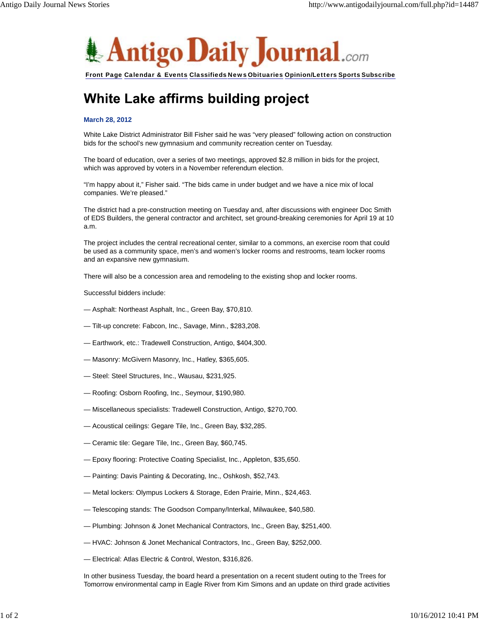

Front Page Calendar & Events Classifieds News Obituaries Opinion/Letters Sports Subscribe

## White Lake affirms building project

## **March 28, 2012**

White Lake District Administrator Bill Fisher said he was "very pleased" following action on construction bids for the school's new gymnasium and community recreation center on Tuesday.

The board of education, over a series of two meetings, approved \$2.8 million in bids for the project, which was approved by voters in a November referendum election.

"I'm happy about it," Fisher said. "The bids came in under budget and we have a nice mix of local companies. We're pleased."

The district had a pre-construction meeting on Tuesday and, after discussions with engineer Doc Smith of EDS Builders, the general contractor and architect, set ground-breaking ceremonies for April 19 at 10 a.m.

The project includes the central recreational center, similar to a commons, an exercise room that could be used as a community space, men's and women's locker rooms and restrooms, team locker rooms and an expansive new gymnasium.

There will also be a concession area and remodeling to the existing shop and locker rooms.

Successful bidders include:

- Asphalt: Northeast Asphalt, Inc., Green Bay, \$70,810.
- Tilt-up concrete: Fabcon, Inc., Savage, Minn., \$283,208.
- Earthwork, etc.: Tradewell Construction, Antigo, \$404,300.
- Masonry: McGivern Masonry, Inc., Hatley, \$365,605.
- Steel: Steel Structures, Inc., Wausau, \$231,925.
- Roofing: Osborn Roofing, Inc., Seymour, \$190,980.
- Miscellaneous specialists: Tradewell Construction, Antigo, \$270,700.
- Acoustical ceilings: Gegare Tile, Inc., Green Bay, \$32,285.
- Ceramic tile: Gegare Tile, Inc., Green Bay, \$60,745.
- Epoxy flooring: Protective Coating Specialist, Inc., Appleton, \$35,650.
- Painting: Davis Painting & Decorating, Inc., Oshkosh, \$52,743.
- Metal lockers: Olympus Lockers & Storage, Eden Prairie, Minn., \$24,463.
- Telescoping stands: The Goodson Company/Interkal, Milwaukee, \$40,580.
- Plumbing: Johnson & Jonet Mechanical Contractors, Inc., Green Bay, \$251,400.
- HVAC: Johnson & Jonet Mechanical Contractors, Inc., Green Bay, \$252,000.
- Electrical: Atlas Electric & Control, Weston, \$316,826.

In other business Tuesday, the board heard a presentation on a recent student outing to the Trees for Tomorrow environmental camp in Eagle River from Kim Simons and an update on third grade activities